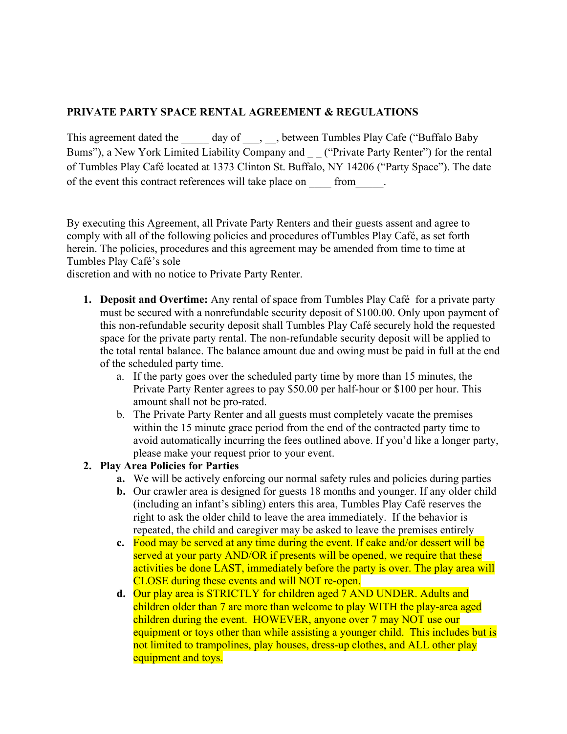## **PRIVATE PARTY SPACE RENTAL AGREEMENT & REGULATIONS**

This agreement dated the day of , between Tumbles Play Cafe ("Buffalo Baby Bums"), a New York Limited Liability Company and \_\_ ("Private Party Renter") for the rental of Tumbles Play Café located at 1373 Clinton St. Buffalo, NY 14206 ("Party Space"). The date of the event this contract references will take place on from  $\Box$ .

By executing this Agreement, all Private Party Renters and their guests assent and agree to comply with all of the following policies and procedures ofTumbles Play Café, as set forth herein. The policies, procedures and this agreement may be amended from time to time at Tumbles Play Café's sole

discretion and with no notice to Private Party Renter.

- **1. Deposit and Overtime:** Any rental of space from Tumbles Play Café for a private party must be secured with a nonrefundable security deposit of \$100.00. Only upon payment of this non-refundable security deposit shall Tumbles Play Café securely hold the requested space for the private party rental. The non-refundable security deposit will be applied to the total rental balance. The balance amount due and owing must be paid in full at the end of the scheduled party time.
	- a. If the party goes over the scheduled party time by more than 15 minutes, the Private Party Renter agrees to pay \$50.00 per half-hour or \$100 per hour. This amount shall not be pro-rated.
	- b. The Private Party Renter and all guests must completely vacate the premises within the 15 minute grace period from the end of the contracted party time to avoid automatically incurring the fees outlined above. If you'd like a longer party, please make your request prior to your event.

## **2. Play Area Policies for Parties**

- **a.** We will be actively enforcing our normal safety rules and policies during parties
- **b.** Our crawler area is designed for guests 18 months and younger. If any older child (including an infant's sibling) enters this area, Tumbles Play Café reserves the right to ask the older child to leave the area immediately. If the behavior is repeated, the child and caregiver may be asked to leave the premises entirely
- **c.** Food may be served at any time during the event. If cake and/or dessert will be served at your party AND/OR if presents will be opened, we require that these activities be done LAST, immediately before the party is over. The play area will CLOSE during these events and will NOT re-open.
- **d.** Our play area is STRICTLY for children aged 7 AND UNDER. Adults and children older than 7 are more than welcome to play WITH the play-area aged children during the event. HOWEVER, anyone over 7 may NOT use our equipment or toys other than while assisting a younger child. This includes but is not limited to trampolines, play houses, dress-up clothes, and ALL other play equipment and toys.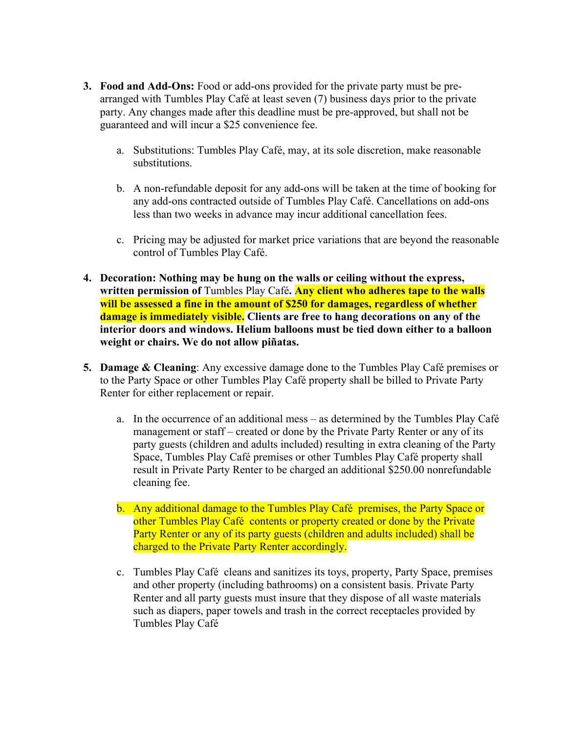- **3. Food and Add-Ons:** Food or add-ons provided for the private party must be prearranged with Tumbles Play Café at least seven (7) business days prior to the private party. Any changes made after this deadline must be pre-approved, but shall not be guaranteed and will incur a \$25 convenience fee.
	- a. Substitutions: Tumbles Play Café, may, at its sole discretion, make reasonable substitutions.
	- b. A non-refundable deposit for any add-ons will be taken at the time of booking for any add-ons contracted outside of Tumbles Play Café. Cancellations on add-ons less than two weeks in advance may incur additional cancellation fees.
	- c. Pricing may be adjusted for market price variations that are beyond the reasonable control of Tumbles Play Café.
- **4. Decoration: Nothing may be hung on the walls or ceiling without the express, written permission of** Tumbles Play Café**. Any client who adheres tape to the walls will be assessed a fine in the amount of \$250 for damages, regardless of whether damage is immediately visible. Clients are free to hang decorations on any of the interior doors and windows. Helium balloons must be tied down either to a balloon weight or chairs. We do not allow piñatas.**
- **5. Damage & Cleaning**: Any excessive damage done to the Tumbles Play Café premises or to the Party Space or other Tumbles Play Café property shall be billed to Private Party Renter for either replacement or repair.
	- a. In the occurrence of an additional mess as determined by the Tumbles Play Café management or staff – created or done by the Private Party Renter or any of its party guests (children and adults included) resulting in extra cleaning of the Party Space, Tumbles Play Café premises or other Tumbles Play Café property shall result in Private Party Renter to be charged an additional \$250.00 nonrefundable cleaning fee.
	- b. Any additional damage to the Tumbles Play Café premises, the Party Space or other Tumbles Play Café contents or property created or done by the Private Party Renter or any of its party guests (children and adults included) shall be charged to the Private Party Renter accordingly.
	- c. Tumbles Play Café cleans and sanitizes its toys, property, Party Space, premises and other property (including bathrooms) on a consistent basis. Private Party Renter and all party guests must insure that they dispose of all waste materials such as diapers, paper towels and trash in the correct receptacles provided by Tumbles Play Café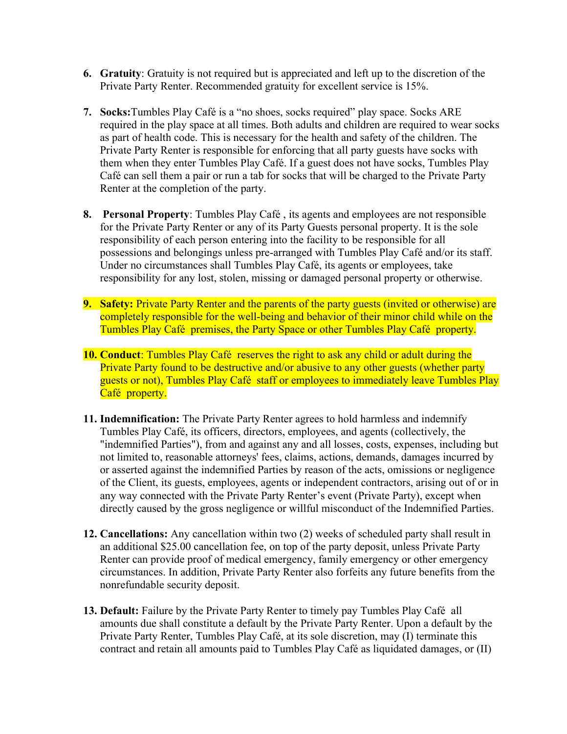- **6. Gratuity**: Gratuity is not required but is appreciated and left up to the discretion of the Private Party Renter. Recommended gratuity for excellent service is 15%.
- **7. Socks:**Tumbles Play Café is a "no shoes, socks required" play space. Socks ARE required in the play space at all times. Both adults and children are required to wear socks as part of health code. This is necessary for the health and safety of the children. The Private Party Renter is responsible for enforcing that all party guests have socks with them when they enter Tumbles Play Café. If a guest does not have socks, Tumbles Play Café can sell them a pair or run a tab for socks that will be charged to the Private Party Renter at the completion of the party.
- **8. Personal Property**: Tumbles Play Café , its agents and employees are not responsible for the Private Party Renter or any of its Party Guests personal property. It is the sole responsibility of each person entering into the facility to be responsible for all possessions and belongings unless pre-arranged with Tumbles Play Café and/or its staff. Under no circumstances shall Tumbles Play Café, its agents or employees, take responsibility for any lost, stolen, missing or damaged personal property or otherwise.
- **9. Safety:** Private Party Renter and the parents of the party guests (invited or otherwise) are completely responsible for the well-being and behavior of their minor child while on the Tumbles Play Café premises, the Party Space or other Tumbles Play Café property.
- **10. Conduct**: Tumbles Play Café reserves the right to ask any child or adult during the Private Party found to be destructive and/or abusive to any other guests (whether party guests or not), Tumbles Play Café staff or employees to immediately leave Tumbles Play Café property.
- **11. Indemnification:** The Private Party Renter agrees to hold harmless and indemnify Tumbles Play Café, its officers, directors, employees, and agents (collectively, the "indemnified Parties"), from and against any and all losses, costs, expenses, including but not limited to, reasonable attorneys' fees, claims, actions, demands, damages incurred by or asserted against the indemnified Parties by reason of the acts, omissions or negligence of the Client, its guests, employees, agents or independent contractors, arising out of or in any way connected with the Private Party Renter's event (Private Party), except when directly caused by the gross negligence or willful misconduct of the Indemnified Parties.
- **12. Cancellations:** Any cancellation within two (2) weeks of scheduled party shall result in an additional \$25.00 cancellation fee, on top of the party deposit, unless Private Party Renter can provide proof of medical emergency, family emergency or other emergency circumstances. In addition, Private Party Renter also forfeits any future benefits from the nonrefundable security deposit.
- **13. Default:** Failure by the Private Party Renter to timely pay Tumbles Play Café all amounts due shall constitute a default by the Private Party Renter. Upon a default by the Private Party Renter, Tumbles Play Café, at its sole discretion, may (I) terminate this contract and retain all amounts paid to Tumbles Play Café as liquidated damages, or (II)